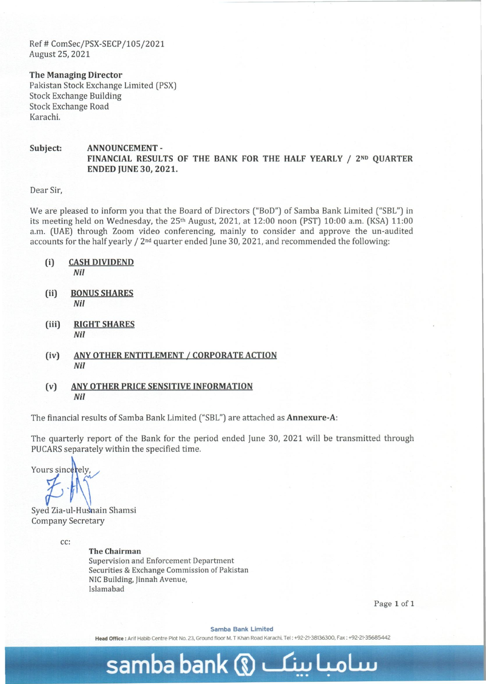Ref # ComSec/PSX-SECP /105/2021 August 25,2021

The Managing Director Pakistan Stock Exchange Limited (PSX) Stock Exchange Building Stock Exchange Road Karachi.

## Subject: ANNOUNCEMENT-FINANCIAL RESULTS OF THE BANK FOR THE HALF YEARLY / 2ND QUARTER ENDED JUNE 30,2021.

Dear Sir,

We are pleased to inform you that the Board of Directors *("BoD")* of Samba Bank Limited *("SBL")* in its meeting held on Wednesday, the  $25<sup>th</sup>$  August, 2021, at 12:00 noon (PST) 10:00 a.m. (KSA) 11:00 a.m. (UAE) through Zoom video conferencing, mainly to consider and approve the un-audited accounts for the half yearly / 2<sup>nd</sup> quarter ended June 30, 2021, and recommended the following:

- (i) CASH DIVIDEND *Nil*
- (ii) BONUS SHARES *Nil*
- (iii) RIGHT SHARES *Nil*
- (iv) ANY OTHER ENTITLEMENT / CORPORATE ACTION *Nil*
- (v) ANY OTHER PRICE SENSITIVE INFORMATION *Nil*

The financial results of Samba Bank Limited ("SBL") are attached as Annexure-A:

The quarterly report of the Bank for the period ended June 30, 2021 will be transmitted through PUCARS separately within the specified time.

Yours sincerely.

Syed Zia-ul-Husnain Shamsi Company Secretary

cc:

The Chairman Supervision and Enforcement Department Securities & Exchange Commission of Pakistan NIC Building, Jinnah Avenue, Islamabad

Page 1 of 1

Samba Bank Limited

Head Office: Arif Habib Centre Plot No. 23, Ground floor M. T Khan Road Karachi. Tel: +92-21-38136300, Fax: +92-21-35685442

**samba bank (i) ~ 4-oL..u**